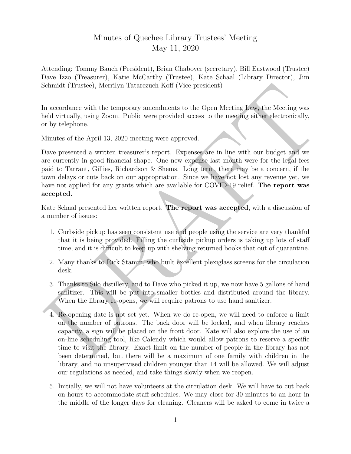## Minutes of Quechee Library Trustees' Meeting May 11, 2020

Attending: Tommy Bauch (President), Brian Chaboyer (secretary), Bill Eastwood (Trustee) Dave Izzo (Treasurer), Katie McCarthy (Trustee), Kate Schaal (Library Director), Jim Schmidt (Trustee), Merrilyn Tatarczuch-Koff (Vice-president)

In accordance with the temporary amendments to the Open Meeting Law, the Meeting was held virtually, using Zoom. Public were provided access to the meeting either electronically, or by telephone.

Minutes of the April 13, 2020 meeting were approved.

is<br>chmidt (Trustee), Merrilyn Tatarczuch-Koff (Vice president)<br>m accordance with the temporary amendments to the Open Meeting Jawy the Meeting was<br>noted virtually, using Zoom. Public were provided access to the meeting cl Dave presented a written treasurer's report. Expenses are in line with our budget and we are currently in good financial shape. One new expense last month were for the legal fees paid to Tarrant, Gillies, Richardson & Shems. Long term, there may be a concern, if the town delays or cuts back on our appropriation. Since we have not lost any revenue yet, we have not applied for any grants which are available for COVID-19 relief. The report was accepted.

Kate Schaal presented her written report. The report was accepted, with a discussion of a number of issues:

- 1. Curbside pickup has seen consistent use and people using the service are very thankful that it is being provided. Filling the curbside pickup orders is taking up lots of staff time, and it is difficult to keep up with shelving returned books that out of quarantine.
- 2. Many thanks to Rick Stamm, who built excellent plexiglass screens for the circulation desk.
- 3. Thanks to Silo distillery, and to Dave who picked it up, we now have 5 gallons of hand sanitizer. This will be put into smaller bottles and distributed around the library. When the library re-opens, we will require patrons to use hand sanitizer.
- 4. Re-opening date is not set yet. When we do re-open, we will need to enforce a limit on the number of patrons. The back door will be locked, and when library reaches capacity, a sign will be placed on the front door. Kate will also explore the use of an on-line scheduling tool, like Calendy which would allow patrons to reserve a specific time to visit the library. Exact limit on the number of people in the library has not been determined, but there will be a maximum of one family with children in the library, and no unsupervised children younger than 14 will be allowed. We will adjust our regulations as needed, and take things slowly when we reopen.
- 5. Initially, we will not have volunteers at the circulation desk. We will have to cut back on hours to accommodate staff schedules. We may close for 30 minutes to an hour in the middle of the longer days for cleaning. Cleaners will be asked to come in twice a